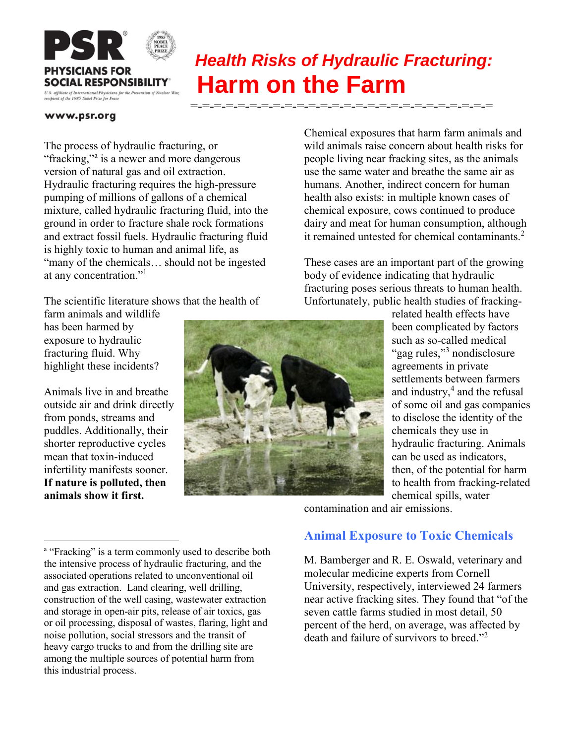

# *Health Risks of Hydraulic Fracturing:*  **Harm on the Farm**

#### www.psr.org

The process of hydraulic fracturing, or "fracking,"<sup>a</sup> is a newer and more dangerous version of natural gas and oil extraction. Hydraulic fracturing requires the high-pressure pumping of millions of gallons of a chemical mixture, called hydraulic fracturing fluid, into the ground in order to fracture shale rock formations and extract fossil fuels. Hydraulic fracturing fluid is highly toxic to human and animal life, as "many of the chemicals… should not be ingested at any concentration."<sup>1</sup>

The scientific literature shows that the health of

farm animals and wildlife has been harmed by exposure to hydraulic fracturing fluid. Why highlight these incidents?

Animals live in and breathe outside air and drink directly from ponds, streams and puddles. Additionally, their shorter reproductive cycles mean that toxin-induced infertility manifests sooner. **If nature is polluted, then animals show it first.**

 $\overline{\phantom{a}}$ 

Chemical exposures that harm farm animals and wild animals raise concern about health risks for people living near fracking sites, as the animals use the same water and breathe the same air as humans. Another, indirect concern for human health also exists: in multiple known cases of chemical exposure, cows continued to produce dairy and meat for human consumption, although it remained untested for chemical contaminants. $2^2$ 

These cases are an important part of the growing body of evidence indicating that hydraulic fracturing poses serious threats to human health. Unfortunately, public health studies of fracking-

> related health effects have been complicated by factors such as so-called medical "gag rules,"<sup>3</sup> nondisclosure agreements in private settlements between farmers and industry,<sup>4</sup> and the refusal of some oil and gas companies to disclose the identity of the chemicals they use in hydraulic fracturing. Animals can be used as indicators, then, of the potential for harm to health from fracking-related chemical spills, water

contamination and air emissions.

## **Animal Exposure to Toxic Chemicals**

M. Bamberger and R. E. Oswald, veterinary and molecular medicine experts from Cornell University, respectively, interviewed 24 farmers near active fracking sites. They found that "of the seven cattle farms studied in most detail, 50 percent of the herd, on average, was affected by death and failure of survivors to breed."<sup>2</sup>

<sup>&</sup>lt;sup>a</sup> "Fracking" is a term commonly used to describe both the intensive process of hydraulic fracturing, and the associated operations related to unconventional oil and gas extraction. Land clearing, well drilling, construction of the well casing, wastewater extraction and storage in open-air pits, release of air toxics, gas or oil processing, disposal of wastes, flaring, light and noise pollution, social stressors and the transit of heavy cargo trucks to and from the drilling site are among the multiple sources of potential harm from this industrial process.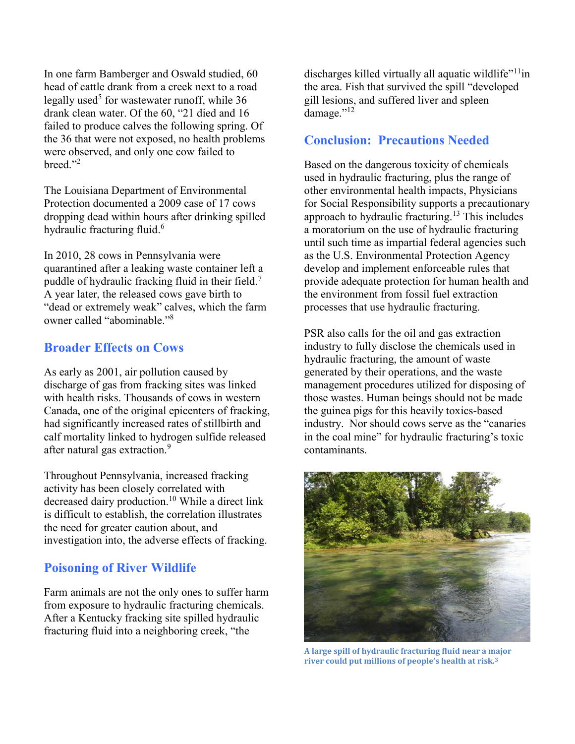In one farm Bamberger and Oswald studied, 60 head of cattle drank from a creek next to a road legally used<sup>5</sup> for wastewater runoff, while 36 drank clean water. Of the 60, "21 died and 16 failed to produce calves the following spring. Of the 36 that were not exposed, no health problems were observed, and only one cow failed to breed $"^{2}$ 

The Louisiana Department of Environmental Protection documented a 2009 case of 17 cows dropping dead within hours after drinking spilled hydraulic fracturing fluid.<sup>6</sup>

In 2010, 28 cows in Pennsylvania were quarantined after a leaking waste container left a puddle of hydraulic fracking fluid in their field.<sup>7</sup> A year later, the released cows gave birth to "dead or extremely weak" calves, which the farm owner called "abominable." 8

### **Broader Effects on Cows**

As early as 2001, air pollution caused by discharge of gas from fracking sites was linked with health risks. Thousands of cows in western Canada, one of the original epicenters of fracking, had significantly increased rates of stillbirth and calf mortality linked to hydrogen sulfide released after natural gas extraction.<sup>9</sup>

Throughout Pennsylvania, increased fracking activity has been closely correlated with decreased dairy production.<sup>10</sup> While a direct link is difficult to establish, the correlation illustrates the need for greater caution about, and investigation into, the adverse effects of fracking.

### **Poisoning of River Wildlife**

Farm animals are not the only ones to suffer harm from exposure to hydraulic fracturing chemicals. After a Kentucky fracking site spilled hydraulic fracturing fluid into a neighboring creek, "the

discharges killed virtually all aquatic wildlife<sup>"11</sup>in the area. Fish that survived the spill "developed gill lesions, and suffered liver and spleen damage."<sup>12</sup>

### **Conclusion: Precautions Needed**

Based on the dangerous toxicity of chemicals used in hydraulic fracturing, plus the range of other environmental health impacts, Physicians for Social Responsibility supports a precautionary approach to hydraulic fracturing.<sup>13</sup> This includes a moratorium on the use of hydraulic fracturing until such time as impartial federal agencies such as the U.S. Environmental Protection Agency develop and implement enforceable rules that provide adequate protection for human health and the environment from fossil fuel extraction processes that use hydraulic fracturing.

PSR also calls for the oil and gas extraction industry to fully disclose the chemicals used in hydraulic fracturing, the amount of waste generated by their operations, and the waste management procedures utilized for disposing of those wastes. Human beings should not be made the guinea pigs for this heavily toxics-based industry. Nor should cows serve as the "canaries in the coal mine" for hydraulic fracturing's toxic contaminants.



**A large spill of hydraulic fracturing fluid near a major river could put millions of people's health at risk.3**